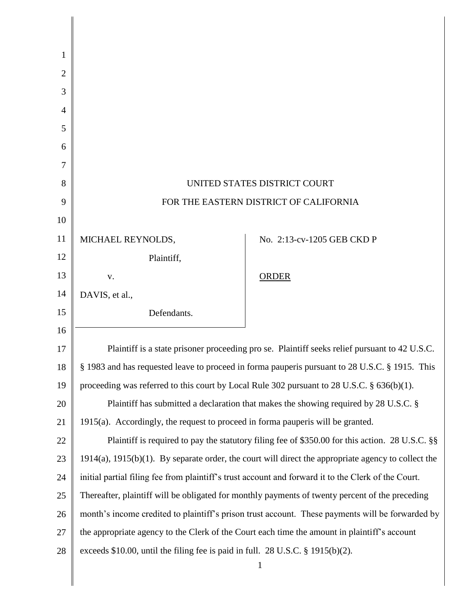| 1              |                                                                                                     |                                                                                                           |
|----------------|-----------------------------------------------------------------------------------------------------|-----------------------------------------------------------------------------------------------------------|
| $\overline{2}$ |                                                                                                     |                                                                                                           |
| 3              |                                                                                                     |                                                                                                           |
| 4              |                                                                                                     |                                                                                                           |
| 5              |                                                                                                     |                                                                                                           |
| 6              |                                                                                                     |                                                                                                           |
| 7              |                                                                                                     |                                                                                                           |
| 8              | UNITED STATES DISTRICT COURT                                                                        |                                                                                                           |
| 9              | FOR THE EASTERN DISTRICT OF CALIFORNIA                                                              |                                                                                                           |
| 10             |                                                                                                     |                                                                                                           |
| 11             | MICHAEL REYNOLDS,                                                                                   | No. 2:13-cv-1205 GEB CKD P                                                                                |
| 12             | Plaintiff,                                                                                          |                                                                                                           |
| 13             | V.                                                                                                  | <b>ORDER</b>                                                                                              |
| 14             | DAVIS, et al.,                                                                                      |                                                                                                           |
| 15             | Defendants.                                                                                         |                                                                                                           |
| 16             |                                                                                                     |                                                                                                           |
| 17             | Plaintiff is a state prisoner proceeding pro se. Plaintiff seeks relief pursuant to 42 U.S.C.       |                                                                                                           |
| 18             | § 1983 and has requested leave to proceed in forma pauperis pursuant to 28 U.S.C. § 1915. This      |                                                                                                           |
| 19             | proceeding was referred to this court by Local Rule 302 pursuant to 28 U.S.C. $\S$ 636(b)(1).       |                                                                                                           |
| 20             | Plaintiff has submitted a declaration that makes the showing required by 28 U.S.C. §                |                                                                                                           |
| 21             | 1915(a). Accordingly, the request to proceed in forma pauperis will be granted.                     |                                                                                                           |
| 22             |                                                                                                     | Plaintiff is required to pay the statutory filing fee of \$350.00 for this action. 28 U.S.C. §§           |
| 23             |                                                                                                     | $1914(a)$ , $1915(b)(1)$ . By separate order, the court will direct the appropriate agency to collect the |
| 24             | initial partial filing fee from plaintiff's trust account and forward it to the Clerk of the Court. |                                                                                                           |
| 25             | Thereafter, plaintiff will be obligated for monthly payments of twenty percent of the preceding     |                                                                                                           |
| 26             | month's income credited to plaintiff's prison trust account. These payments will be forwarded by    |                                                                                                           |
| 27             | the appropriate agency to the Clerk of the Court each time the amount in plaintiff's account        |                                                                                                           |
| 28             | exceeds \$10.00, until the filing fee is paid in full. 28 U.S.C. $\S$ 1915(b)(2).                   |                                                                                                           |
|                |                                                                                                     | $\mathbf{1}$                                                                                              |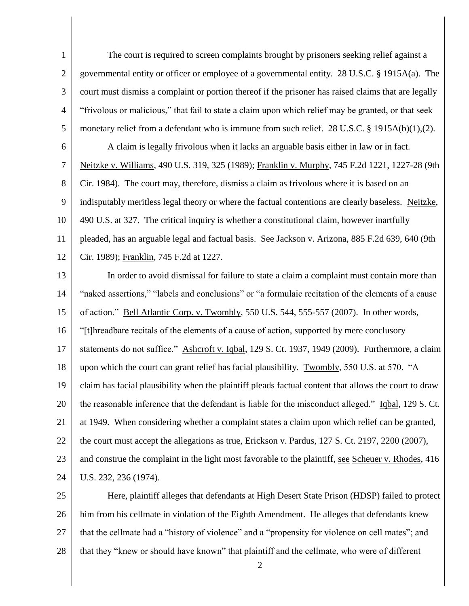1 2 3 4 5 6 7 8 9 10 11 12 13 14 15 16 17 18 19 20 21 22 23 24 25 The court is required to screen complaints brought by prisoners seeking relief against a governmental entity or officer or employee of a governmental entity. 28 U.S.C. § 1915A(a). The court must dismiss a complaint or portion thereof if the prisoner has raised claims that are legally "frivolous or malicious," that fail to state a claim upon which relief may be granted, or that seek monetary relief from a defendant who is immune from such relief. 28 U.S.C. § 1915A(b)(1),(2). A claim is legally frivolous when it lacks an arguable basis either in law or in fact. Neitzke v. Williams, 490 U.S. 319, 325 (1989); Franklin v. Murphy, 745 F.2d 1221, 1227-28 (9th Cir. 1984). The court may, therefore, dismiss a claim as frivolous where it is based on an indisputably meritless legal theory or where the factual contentions are clearly baseless. Neitzke, 490 U.S. at 327. The critical inquiry is whether a constitutional claim, however inartfully pleaded, has an arguable legal and factual basis. See Jackson v. Arizona, 885 F.2d 639, 640 (9th Cir. 1989); Franklin, 745 F.2d at 1227. In order to avoid dismissal for failure to state a claim a complaint must contain more than "naked assertions," "labels and conclusions" or "a formulaic recitation of the elements of a cause of action." Bell Atlantic Corp. v. Twombly, 550 U.S. 544, 555-557 (2007). In other words, "[t]hreadbare recitals of the elements of a cause of action, supported by mere conclusory statements do not suffice." Ashcroft v. Iqbal, 129 S. Ct. 1937, 1949 (2009). Furthermore, a claim upon which the court can grant relief has facial plausibility. Twombly, 550 U.S. at 570. "A claim has facial plausibility when the plaintiff pleads factual content that allows the court to draw the reasonable inference that the defendant is liable for the misconduct alleged." Iqbal, 129 S. Ct. at 1949. When considering whether a complaint states a claim upon which relief can be granted, the court must accept the allegations as true, Erickson v. Pardus, 127 S. Ct. 2197, 2200 (2007), and construe the complaint in the light most favorable to the plaintiff, see Scheuer v. Rhodes, 416 U.S. 232, 236 (1974). Here, plaintiff alleges that defendants at High Desert State Prison (HDSP) failed to protect

26 27 28 him from his cellmate in violation of the Eighth Amendment. He alleges that defendants knew that the cellmate had a "history of violence" and a "propensity for violence on cell mates"; and that they "knew or should have known" that plaintiff and the cellmate, who were of different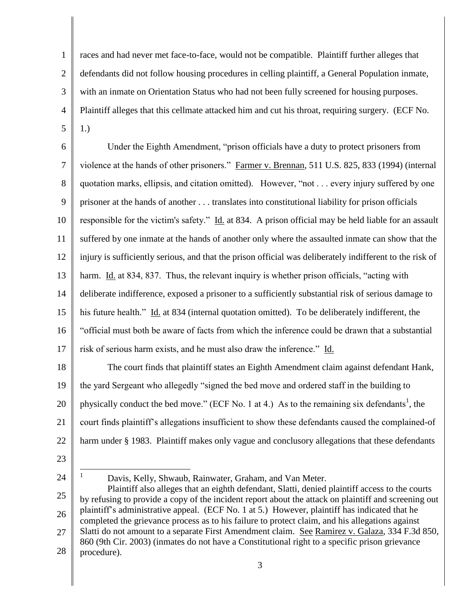1 2 3 4 5 races and had never met face-to-face, would not be compatible. Plaintiff further alleges that defendants did not follow housing procedures in celling plaintiff, a General Population inmate, with an inmate on Orientation Status who had not been fully screened for housing purposes. Plaintiff alleges that this cellmate attacked him and cut his throat, requiring surgery. (ECF No. 1.)

6 7 8 9 10 11 12 13 14 15 16 17 18 Under the Eighth Amendment, "prison officials have a duty to protect prisoners from violence at the hands of other prisoners." Farmer v. Brennan, 511 U.S. 825, 833 (1994) (internal quotation marks, ellipsis, and citation omitted). However, "not . . . every injury suffered by one prisoner at the hands of another . . . translates into constitutional liability for prison officials responsible for the victim's safety." Id. at 834. A prison official may be held liable for an assault suffered by one inmate at the hands of another only where the assaulted inmate can show that the injury is sufficiently serious, and that the prison official was deliberately indifferent to the risk of harm. Id. at 834, 837. Thus, the relevant inquiry is whether prison officials, "acting with deliberate indifference, exposed a prisoner to a sufficiently substantial risk of serious damage to his future health." Id. at 834 (internal quotation omitted). To be deliberately indifferent, the "official must both be aware of facts from which the inference could be drawn that a substantial risk of serious harm exists, and he must also draw the inference." Id. The court finds that plaintiff states an Eighth Amendment claim against defendant Hank,

19 20 21 22 the yard Sergeant who allegedly "signed the bed move and ordered staff in the building to physically conduct the bed move." (ECF No. 1 at 4.) As to the remaining six defendants<sup>1</sup>, the court finds plaintiff's allegations insufficient to show these defendants caused the complained-of harm under § 1983. Plaintiff makes only vague and conclusory allegations that these defendants

23

24

 $\mathbf{1}$ 

Davis, Kelly, Shwaub, Rainwater, Graham, and Van Meter.

<sup>25</sup> 26 27 28 Plaintiff also alleges that an eighth defendant, Slatti, denied plaintiff access to the courts by refusing to provide a copy of the incident report about the attack on plaintiff and screening out plaintiff's administrative appeal. (ECF No. 1 at 5.) However, plaintiff has indicated that he completed the grievance process as to his failure to protect claim, and his allegations against Slatti do not amount to a separate First Amendment claim. See Ramirez v. Galaza, 334 F.3d 850, 860 (9th Cir. 2003) (inmates do not have a Constitutional right to a specific prison grievance procedure).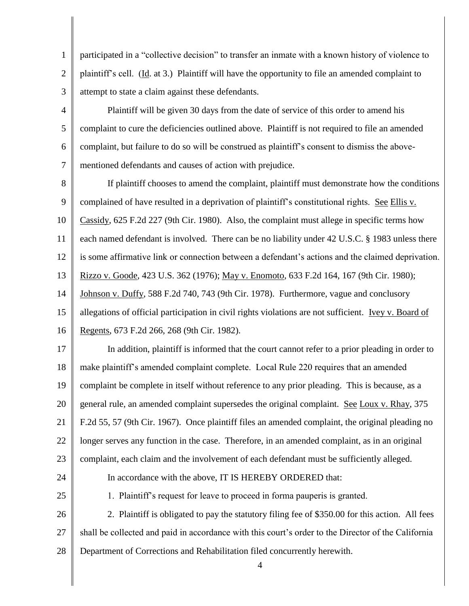1 2 3 participated in a "collective decision" to transfer an inmate with a known history of violence to plaintiff's cell. (Id. at 3.) Plaintiff will have the opportunity to file an amended complaint to attempt to state a claim against these defendants.

Plaintiff will be given 30 days from the date of service of this order to amend his complaint to cure the deficiencies outlined above. Plaintiff is not required to file an amended complaint, but failure to do so will be construed as plaintiff's consent to dismiss the abovementioned defendants and causes of action with prejudice.

8 9 10 11 12 13 14 15 16 If plaintiff chooses to amend the complaint, plaintiff must demonstrate how the conditions complained of have resulted in a deprivation of plaintiff's constitutional rights. See Ellis v. Cassidy, 625 F.2d 227 (9th Cir. 1980). Also, the complaint must allege in specific terms how each named defendant is involved. There can be no liability under 42 U.S.C. § 1983 unless there is some affirmative link or connection between a defendant's actions and the claimed deprivation. Rizzo v. Goode, 423 U.S. 362 (1976); May v. Enomoto, 633 F.2d 164, 167 (9th Cir. 1980); Johnson v. Duffy, 588 F.2d 740, 743 (9th Cir. 1978). Furthermore, vague and conclusory allegations of official participation in civil rights violations are not sufficient. Ivey v. Board of Regents, 673 F.2d 266, 268 (9th Cir. 1982).

17 18 19 20 21 22 23 In addition, plaintiff is informed that the court cannot refer to a prior pleading in order to make plaintiff's amended complaint complete. Local Rule 220 requires that an amended complaint be complete in itself without reference to any prior pleading. This is because, as a general rule, an amended complaint supersedes the original complaint. See Loux v. Rhay, 375 F.2d 55, 57 (9th Cir. 1967). Once plaintiff files an amended complaint, the original pleading no longer serves any function in the case. Therefore, in an amended complaint, as in an original complaint, each claim and the involvement of each defendant must be sufficiently alleged.

24 25

4

5

6

7

1. Plaintiff's request for leave to proceed in forma pauperis is granted.

In accordance with the above, IT IS HEREBY ORDERED that:

26 27 28 2. Plaintiff is obligated to pay the statutory filing fee of \$350.00 for this action. All fees shall be collected and paid in accordance with this court's order to the Director of the California Department of Corrections and Rehabilitation filed concurrently herewith.